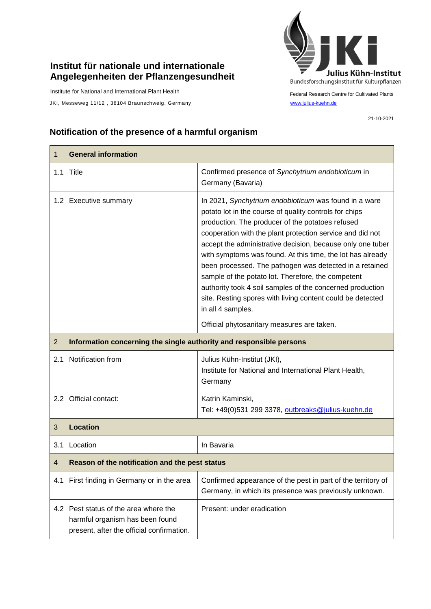## **Institut für nationale und internationale Angelegenheiten der Pflanzengesundheit**

Institute for National and International Plant Health

JKI, Messeweg 11/12, 38104 Braunschweig, Germany [www.julius-kuehn.de](http://www.julius-kuehn.de/)



Federal Research Centre for Cultivated Plants

21-10-2021

## **Notification of the presence of a harmful organism**

| 1              | <b>General information</b>                                                                                            |                                                                                                                                                                                                                                                                                                                                                                                                                                                                                                                                                                                                                               |  |
|----------------|-----------------------------------------------------------------------------------------------------------------------|-------------------------------------------------------------------------------------------------------------------------------------------------------------------------------------------------------------------------------------------------------------------------------------------------------------------------------------------------------------------------------------------------------------------------------------------------------------------------------------------------------------------------------------------------------------------------------------------------------------------------------|--|
|                | 1.1 Title                                                                                                             | Confirmed presence of Synchytrium endobioticum in<br>Germany (Bavaria)                                                                                                                                                                                                                                                                                                                                                                                                                                                                                                                                                        |  |
|                | 1.2 Executive summary                                                                                                 | In 2021, Synchytrium endobioticum was found in a ware<br>potato lot in the course of quality controls for chips<br>production. The producer of the potatoes refused<br>cooperation with the plant protection service and did not<br>accept the administrative decision, because only one tuber<br>with symptoms was found. At this time, the lot has already<br>been processed. The pathogen was detected in a retained<br>sample of the potato lot. Therefore, the competent<br>authority took 4 soil samples of the concerned production<br>site. Resting spores with living content could be detected<br>in all 4 samples. |  |
|                |                                                                                                                       | Official phytosanitary measures are taken.                                                                                                                                                                                                                                                                                                                                                                                                                                                                                                                                                                                    |  |
| $\overline{2}$ | Information concerning the single authority and responsible persons                                                   |                                                                                                                                                                                                                                                                                                                                                                                                                                                                                                                                                                                                                               |  |
| 2.1            | Notification from                                                                                                     | Julius Kühn-Institut (JKI),<br>Institute for National and International Plant Health,<br>Germany                                                                                                                                                                                                                                                                                                                                                                                                                                                                                                                              |  |
|                | 2.2 Official contact:                                                                                                 | Katrin Kaminski,<br>Tel: +49(0)531 299 3378, outbreaks@julius-kuehn.de                                                                                                                                                                                                                                                                                                                                                                                                                                                                                                                                                        |  |
| 3              | <b>Location</b>                                                                                                       |                                                                                                                                                                                                                                                                                                                                                                                                                                                                                                                                                                                                                               |  |
| 3.1            | Location                                                                                                              | In Bavaria                                                                                                                                                                                                                                                                                                                                                                                                                                                                                                                                                                                                                    |  |
| 4              | Reason of the notification and the pest status                                                                        |                                                                                                                                                                                                                                                                                                                                                                                                                                                                                                                                                                                                                               |  |
|                | 4.1 First finding in Germany or in the area                                                                           | Confirmed appearance of the pest in part of the territory of<br>Germany, in which its presence was previously unknown.                                                                                                                                                                                                                                                                                                                                                                                                                                                                                                        |  |
|                | 4.2 Pest status of the area where the<br>harmful organism has been found<br>present, after the official confirmation. | Present: under eradication                                                                                                                                                                                                                                                                                                                                                                                                                                                                                                                                                                                                    |  |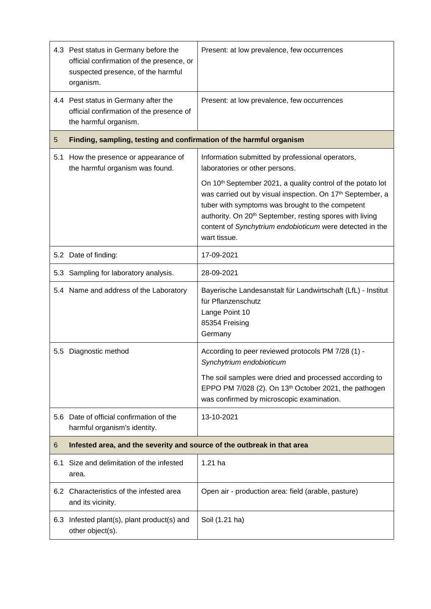|     | 4.3 Pest status in Germany before the<br>official confirmation of the presence, or<br>suspected presence, of the harmful<br>organism. | Present: at low prevalence, few occurrences                                                                                                                                                                                                                                                                                                   |  |
|-----|---------------------------------------------------------------------------------------------------------------------------------------|-----------------------------------------------------------------------------------------------------------------------------------------------------------------------------------------------------------------------------------------------------------------------------------------------------------------------------------------------|--|
|     | 4.4 Pest status in Germany after the<br>official confirmation of the presence of<br>the harmful organism.                             | Present: at low prevalence, few occurrences                                                                                                                                                                                                                                                                                                   |  |
| 5   | Finding, sampling, testing and confirmation of the harmful organism                                                                   |                                                                                                                                                                                                                                                                                                                                               |  |
| 5.1 | How the presence or appearance of<br>the harmful organism was found.                                                                  | Information submitted by professional operators,<br>laboratories or other persons.                                                                                                                                                                                                                                                            |  |
|     |                                                                                                                                       | On 10 <sup>th</sup> September 2021, a quality control of the potato lot<br>was carried out by visual inspection. On 17th September, a<br>tuber with symptoms was brought to the competent<br>authority. On 20 <sup>th</sup> September, resting spores with living<br>content of Synchytrium endobioticum were detected in the<br>wart tissue. |  |
|     | 5.2 Date of finding:                                                                                                                  | 17-09-2021                                                                                                                                                                                                                                                                                                                                    |  |
|     | 5.3 Sampling for laboratory analysis.                                                                                                 | 28-09-2021                                                                                                                                                                                                                                                                                                                                    |  |
|     | 5.4 Name and address of the Laboratory                                                                                                | Bayerische Landesanstalt für Landwirtschaft (LfL) - Institut<br>für Pflanzenschutz<br>Lange Point 10<br>85354 Freising<br>Germany                                                                                                                                                                                                             |  |
| 5.5 | Diagnostic method                                                                                                                     | According to peer reviewed protocols PM 7/28 (1) -<br>Synchytrium endobioticum<br>The soil samples were dried and processed according to                                                                                                                                                                                                      |  |
|     |                                                                                                                                       | EPPO PM 7/028 (2). On 13 <sup>th</sup> October 2021, the pathogen<br>was confirmed by microscopic examination.                                                                                                                                                                                                                                |  |
|     | 5.6 Date of official confirmation of the<br>harmful organism's identity.                                                              | 13-10-2021                                                                                                                                                                                                                                                                                                                                    |  |
| 6   | Infested area, and the severity and source of the outbreak in that area                                                               |                                                                                                                                                                                                                                                                                                                                               |  |
| 6.1 | Size and delimitation of the infested<br>area.                                                                                        | $1.21$ ha                                                                                                                                                                                                                                                                                                                                     |  |
|     | 6.2 Characteristics of the infested area<br>and its vicinity.                                                                         | Open air - production area: field (arable, pasture)                                                                                                                                                                                                                                                                                           |  |
| 6.3 | Infested plant(s), plant product(s) and<br>other object(s).                                                                           | Soil (1.21 ha)                                                                                                                                                                                                                                                                                                                                |  |